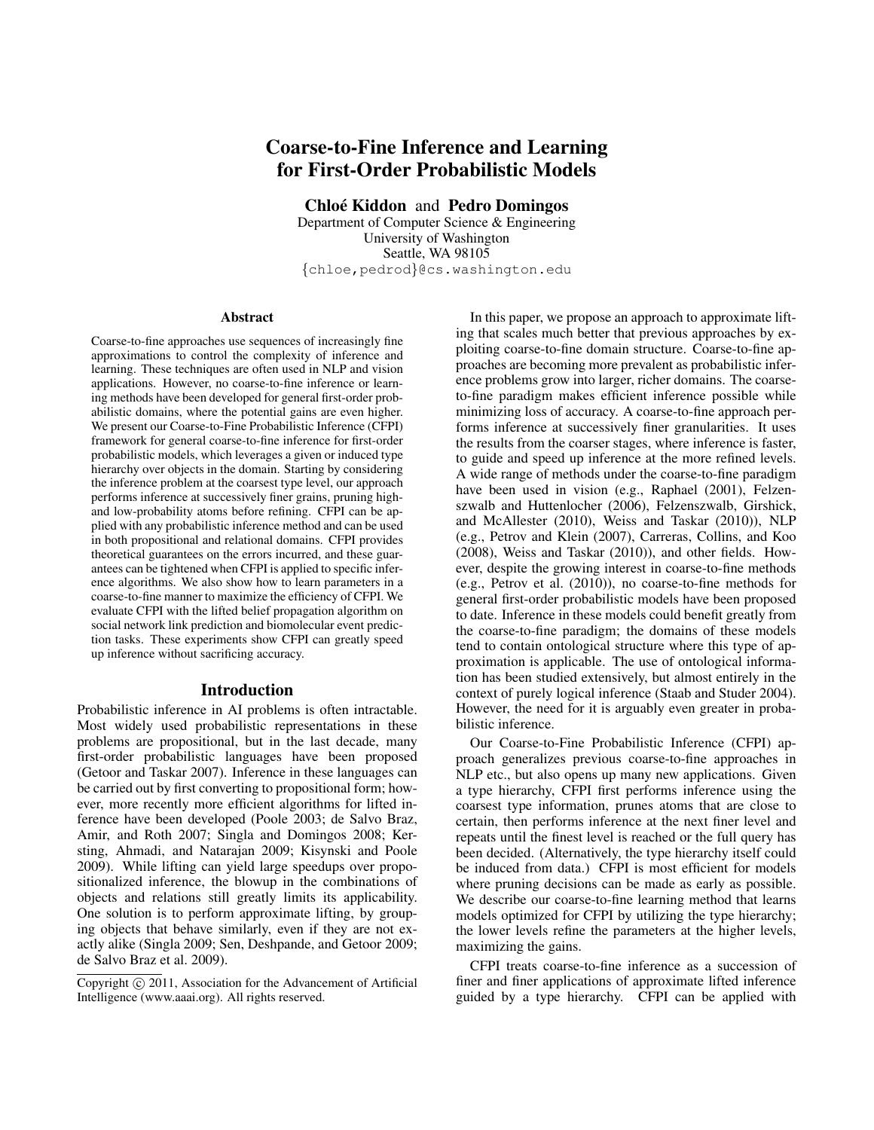# Coarse-to-Fine Inference and Learning for First-Order Probabilistic Models

Chloé Kiddon and Pedro Domingos

Department of Computer Science & Engineering University of Washington Seattle, WA 98105 {chloe,pedrod}@cs.washington.edu

#### **Abstract**

Coarse-to-fine approaches use sequences of increasingly fine approximations to control the complexity of inference and learning. These techniques are often used in NLP and vision applications. However, no coarse-to-fine inference or learning methods have been developed for general first-order probabilistic domains, where the potential gains are even higher. We present our Coarse-to-Fine Probabilistic Inference (CFPI) framework for general coarse-to-fine inference for first-order probabilistic models, which leverages a given or induced type hierarchy over objects in the domain. Starting by considering the inference problem at the coarsest type level, our approach performs inference at successively finer grains, pruning highand low-probability atoms before refining. CFPI can be applied with any probabilistic inference method and can be used in both propositional and relational domains. CFPI provides theoretical guarantees on the errors incurred, and these guarantees can be tightened when CFPI is applied to specific inference algorithms. We also show how to learn parameters in a coarse-to-fine manner to maximize the efficiency of CFPI. We evaluate CFPI with the lifted belief propagation algorithm on social network link prediction and biomolecular event prediction tasks. These experiments show CFPI can greatly speed up inference without sacrificing accuracy.

# Introduction

Probabilistic inference in AI problems is often intractable. Most widely used probabilistic representations in these problems are propositional, but in the last decade, many first-order probabilistic languages have been proposed (Getoor and Taskar 2007). Inference in these languages can be carried out by first converting to propositional form; however, more recently more efficient algorithms for lifted inference have been developed (Poole 2003; de Salvo Braz, Amir, and Roth 2007; Singla and Domingos 2008; Kersting, Ahmadi, and Natarajan 2009; Kisynski and Poole 2009). While lifting can yield large speedups over propositionalized inference, the blowup in the combinations of objects and relations still greatly limits its applicability. One solution is to perform approximate lifting, by grouping objects that behave similarly, even if they are not exactly alike (Singla 2009; Sen, Deshpande, and Getoor 2009; de Salvo Braz et al. 2009).

In this paper, we propose an approach to approximate lifting that scales much better that previous approaches by exploiting coarse-to-fine domain structure. Coarse-to-fine approaches are becoming more prevalent as probabilistic inference problems grow into larger, richer domains. The coarseto-fine paradigm makes efficient inference possible while minimizing loss of accuracy. A coarse-to-fine approach performs inference at successively finer granularities. It uses the results from the coarser stages, where inference is faster, to guide and speed up inference at the more refined levels. A wide range of methods under the coarse-to-fine paradigm have been used in vision (e.g., Raphael (2001), Felzenszwalb and Huttenlocher (2006), Felzenszwalb, Girshick, and McAllester (2010), Weiss and Taskar (2010)), NLP (e.g., Petrov and Klein (2007), Carreras, Collins, and Koo (2008), Weiss and Taskar (2010)), and other fields. However, despite the growing interest in coarse-to-fine methods (e.g., Petrov et al. (2010)), no coarse-to-fine methods for general first-order probabilistic models have been proposed to date. Inference in these models could benefit greatly from the coarse-to-fine paradigm; the domains of these models tend to contain ontological structure where this type of approximation is applicable. The use of ontological information has been studied extensively, but almost entirely in the context of purely logical inference (Staab and Studer 2004). However, the need for it is arguably even greater in probabilistic inference.

Our Coarse-to-Fine Probabilistic Inference (CFPI) approach generalizes previous coarse-to-fine approaches in NLP etc., but also opens up many new applications. Given a type hierarchy, CFPI first performs inference using the coarsest type information, prunes atoms that are close to certain, then performs inference at the next finer level and repeats until the finest level is reached or the full query has been decided. (Alternatively, the type hierarchy itself could be induced from data.) CFPI is most efficient for models where pruning decisions can be made as early as possible. We describe our coarse-to-fine learning method that learns models optimized for CFPI by utilizing the type hierarchy; the lower levels refine the parameters at the higher levels, maximizing the gains.

CFPI treats coarse-to-fine inference as a succession of finer and finer applications of approximate lifted inference guided by a type hierarchy. CFPI can be applied with

Copyright (c) 2011, Association for the Advancement of Artificial Intelligence (www.aaai.org). All rights reserved.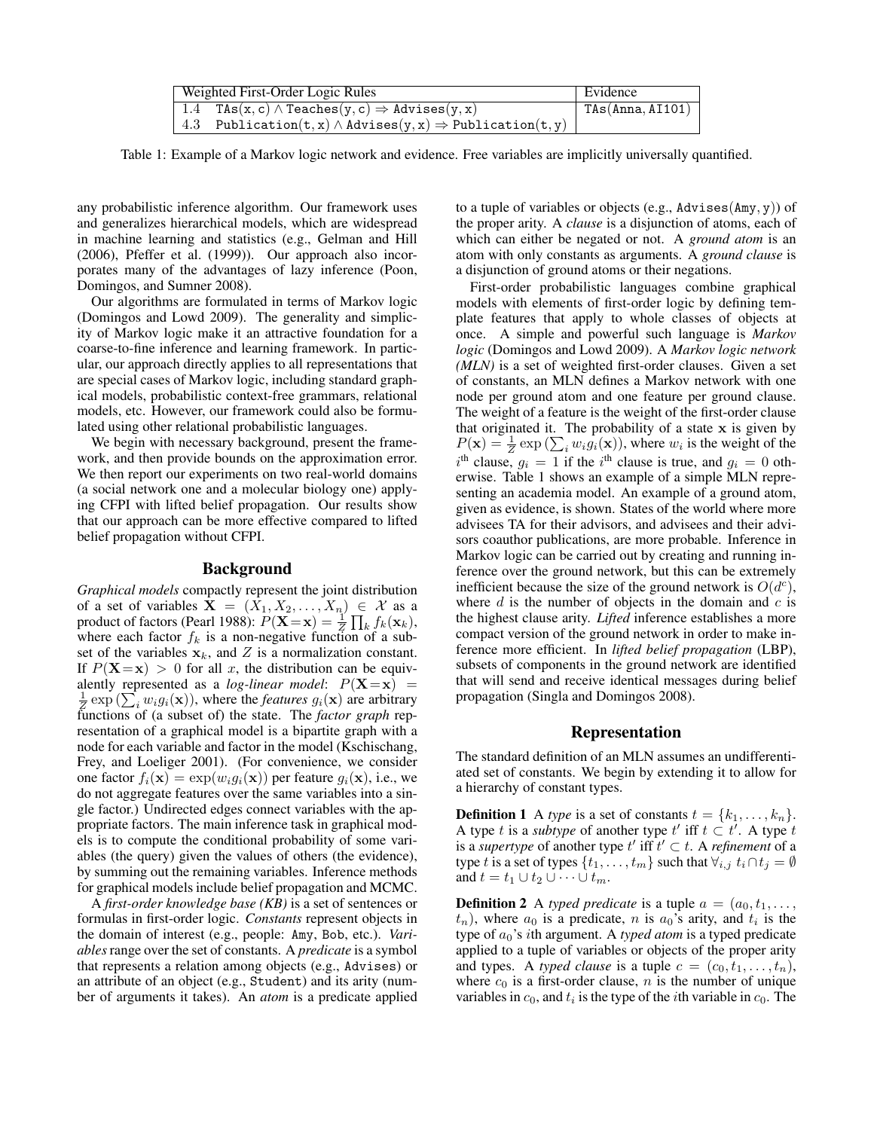| Weighted First-Order Logic Rules                                            | Evidence         |
|-----------------------------------------------------------------------------|------------------|
| 1.4 TAs(x, c) $\land$ Teaches(y, c) $\Rightarrow$ Advises(y, x)             | TAs(Anna, AI101) |
| 4.3 Publication(t, x) $\land$ Advises(y, x) $\Rightarrow$ Publication(t, y) |                  |

Table 1: Example of a Markov logic network and evidence. Free variables are implicitly universally quantified.

any probabilistic inference algorithm. Our framework uses and generalizes hierarchical models, which are widespread in machine learning and statistics (e.g., Gelman and Hill (2006), Pfeffer et al. (1999)). Our approach also incorporates many of the advantages of lazy inference (Poon, Domingos, and Sumner 2008).

Our algorithms are formulated in terms of Markov logic (Domingos and Lowd 2009). The generality and simplicity of Markov logic make it an attractive foundation for a coarse-to-fine inference and learning framework. In particular, our approach directly applies to all representations that are special cases of Markov logic, including standard graphical models, probabilistic context-free grammars, relational models, etc. However, our framework could also be formulated using other relational probabilistic languages.

We begin with necessary background, present the framework, and then provide bounds on the approximation error. We then report our experiments on two real-world domains (a social network one and a molecular biology one) applying CFPI with lifted belief propagation. Our results show that our approach can be more effective compared to lifted belief propagation without CFPI.

# Background

*Graphical models* compactly represent the joint distribution of a set of variables  $X = (X_1, X_2, \ldots, X_n) \in \mathcal{X}$  as a product of factors (Pearl 1988):  $P(\mathbf{X} = \mathbf{x}) = \frac{1}{Z} \prod_k f_k(\mathbf{x}_k)$ , where each factor  $f_k$  is a non-negative function of a subset of the variables  $x_k$ , and Z is a normalization constant. If  $P(X=x) > 0$  for all x, the distribution can be equivalently represented as a *log-linear model*:  $P(X=x)$  =  $\frac{1}{Z}$  exp ( $\sum_i w_i g_i(\mathbf{x})$ ), where the *features*  $g_i(\mathbf{x})$  are arbitrary functions of (a subset of) the state. The *factor graph* representation of a graphical model is a bipartite graph with a node for each variable and factor in the model (Kschischang, Frey, and Loeliger 2001). (For convenience, we consider one factor  $f_i(\mathbf{x}) = \exp(w_i g_i(\mathbf{x}))$  per feature  $g_i(\mathbf{x})$ , i.e., we do not aggregate features over the same variables into a single factor.) Undirected edges connect variables with the appropriate factors. The main inference task in graphical models is to compute the conditional probability of some variables (the query) given the values of others (the evidence), by summing out the remaining variables. Inference methods for graphical models include belief propagation and MCMC.

A *first-order knowledge base (KB)* is a set of sentences or formulas in first-order logic. *Constants* represent objects in the domain of interest (e.g., people: Amy, Bob, etc.). *Variables*range over the set of constants. A *predicate* is a symbol that represents a relation among objects (e.g., Advises) or an attribute of an object (e.g., Student) and its arity (number of arguments it takes). An *atom* is a predicate applied to a tuple of variables or objects (e.g., Advises( $\text{Amy}, \text{y}$ )) of the proper arity. A *clause* is a disjunction of atoms, each of which can either be negated or not. A *ground atom* is an atom with only constants as arguments. A *ground clause* is a disjunction of ground atoms or their negations.

First-order probabilistic languages combine graphical models with elements of first-order logic by defining template features that apply to whole classes of objects at once. A simple and powerful such language is *Markov logic* (Domingos and Lowd 2009). A *Markov logic network (MLN)* is a set of weighted first-order clauses. Given a set of constants, an MLN defines a Markov network with one node per ground atom and one feature per ground clause. The weight of a feature is the weight of the first-order clause that originated it. The probability of a state  $x$  is given by  $P(\mathbf{x}) = \frac{1}{Z} \exp \left( \sum_i w_i g_i(\mathbf{x}) \right)$ , where  $w_i$  is the weight of the  $i^{\text{th}}$  clause,  $g_i = 1$  if the  $i^{\text{th}}$  clause is true, and  $g_i = 0$  otherwise. Table 1 shows an example of a simple MLN representing an academia model. An example of a ground atom, given as evidence, is shown. States of the world where more advisees TA for their advisors, and advisees and their advisors coauthor publications, are more probable. Inference in Markov logic can be carried out by creating and running inference over the ground network, but this can be extremely inefficient because the size of the ground network is  $O(d^c)$ , where  $d$  is the number of objects in the domain and  $c$  is the highest clause arity. *Lifted* inference establishes a more compact version of the ground network in order to make inference more efficient. In *lifted belief propagation* (LBP), subsets of components in the ground network are identified that will send and receive identical messages during belief propagation (Singla and Domingos 2008).

# Representation

The standard definition of an MLN assumes an undifferentiated set of constants. We begin by extending it to allow for a hierarchy of constant types.

**Definition 1** A *type* is a set of constants  $t = \{k_1, \ldots, k_n\}$ . A type t is a *subtype* of another type t' iff  $t \subset t'$ . A type t is a *supertype* of another type  $t'$  iff  $t' \subset t$ . A *refinement* of a type t is a set of types  $\{t_1, \ldots, t_m\}$  such that  $\forall i, j \in \{t_i \cap t_j = \emptyset\}$ and  $t = t_1 \cup t_2 \cup \cdots \cup t_m$ .

**Definition 2** A *typed predicate* is a tuple  $a = (a_0, t_1, \ldots, t_n)$  $(t_n)$ , where  $a_0$  is a predicate, n is  $a_0$ 's arity, and  $t_i$  is the type of  $a_0$ 's *i*th argument. A *typed atom* is a typed predicate applied to a tuple of variables or objects of the proper arity and types. A *typed clause* is a tuple  $c = (c_0, t_1, \ldots, t_n)$ , where  $c_0$  is a first-order clause, n is the number of unique variables in  $c_0$ , and  $t_i$  is the type of the *i*th variable in  $c_0$ . The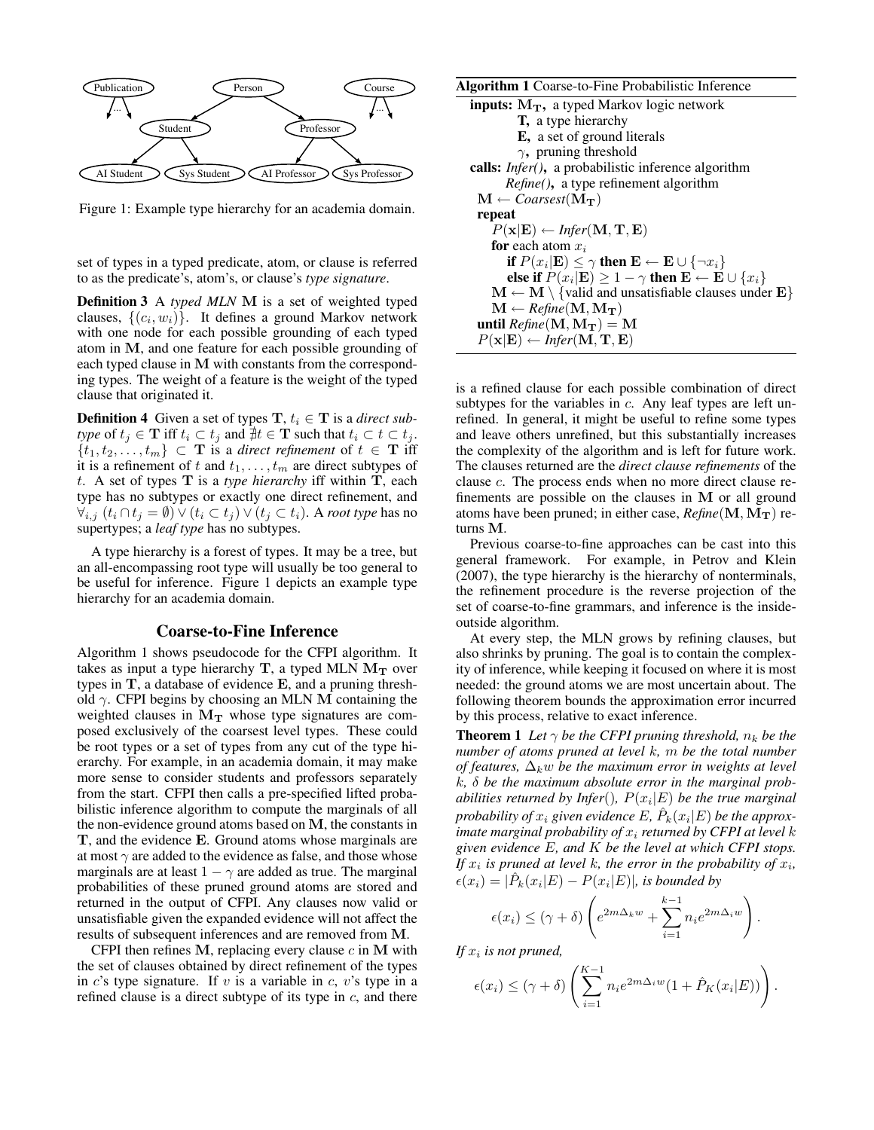

Figure 1: Example type hierarchy for an academia domain.

set of types in a typed predicate, atom, or clause is referred to as the predicate's, atom's, or clause's *type signature*.

Definition 3 A *typed MLN* M is a set of weighted typed clauses,  $\{(c_i, w_i)\}$ . It defines a ground Markov network with one node for each possible grounding of each typed atom in M, and one feature for each possible grounding of each typed clause in M with constants from the corresponding types. The weight of a feature is the weight of the typed clause that originated it.

**Definition 4** Given a set of types  $T, t_i \in T$  is a *direct subtype* of  $t_j \in \mathbf{T}$  iff  $t_i \subset t_j$  and  $\forall t \in \mathbf{T}$  such that  $t_i \subset t \subset t_j$ .  $\{t_1, t_2, \ldots, t_m\} \subset \mathbf{T}$  is a *direct refinement* of  $t \in \mathbf{T}$  iff it is a refinement of t and  $t_1, \ldots, t_m$  are direct subtypes of t. A set of types T is a *type hierarchy* iff within T, each type has no subtypes or exactly one direct refinement, and  $\forall_{i,j}$  ( $t_i \cap t_j = \emptyset$ ) ∨ ( $t_i \subset t_j$ ) ∨ ( $t_j \subset t_i$ ). A *root type* has no supertypes; a *leaf type* has no subtypes.

A type hierarchy is a forest of types. It may be a tree, but an all-encompassing root type will usually be too general to be useful for inference. Figure 1 depicts an example type hierarchy for an academia domain.

#### Coarse-to-Fine Inference

Algorithm 1 shows pseudocode for the CFPI algorithm. It takes as input a type hierarchy  $T$ , a typed MLN  $M_T$  over types in T, a database of evidence E, and a pruning threshold  $\gamma$ . CFPI begins by choosing an MLN M containing the weighted clauses in  $M_T$  whose type signatures are composed exclusively of the coarsest level types. These could be root types or a set of types from any cut of the type hierarchy. For example, in an academia domain, it may make more sense to consider students and professors separately from the start. CFPI then calls a pre-specified lifted probabilistic inference algorithm to compute the marginals of all the non-evidence ground atoms based on M, the constants in T, and the evidence E. Ground atoms whose marginals are at most  $\gamma$  are added to the evidence as false, and those whose marginals are at least  $1 - \gamma$  are added as true. The marginal probabilities of these pruned ground atoms are stored and returned in the output of CFPI. Any clauses now valid or unsatisfiable given the expanded evidence will not affect the results of subsequent inferences and are removed from M.

CFPI then refines  $M$ , replacing every clause  $c$  in  $M$  with the set of clauses obtained by direct refinement of the types in c's type signature. If  $v$  is a variable in  $c$ ,  $v$ 's type in a refined clause is a direct subtype of its type in  $c$ , and there

| <b>Algorithm 1</b> Coarse-to-Fine Probabilistic Inference                                       |
|-------------------------------------------------------------------------------------------------|
| <b>inputs:</b> $M_T$ , a typed Markov logic network                                             |
| <b>T</b> , a type hierarchy                                                                     |
| <b>E</b> , a set of ground literals                                                             |
| $\gamma$ , pruning threshold                                                                    |
| calls: <i>Infer()</i> , a probabilistic inference algorithm                                     |
| <i>Refine</i> (), a type refinement algorithm                                                   |
| $\mathbf{M} \leftarrow \text{Coarsest}(\mathbf{M_T})$                                           |
| repeat                                                                                          |
| $P(\mathbf{x} \mathbf{E}) \leftarrow \text{Infer}(\mathbf{M}, \mathbf{T}, \mathbf{E})$          |
| <b>for</b> each atom $x_i$                                                                      |
| if $P(x_i \mathbf{E}) \leq \gamma$ then $\mathbf{E} \leftarrow \mathbf{E} \cup \{\neg x_i\}$    |
| else if $P(x_i \mathbf{E}) \ge 1 - \gamma$ then $\mathbf{E} \leftarrow \mathbf{E} \cup \{x_i\}$ |
| $M \leftarrow M \setminus \{$ valid and unsatisfiable clauses under $E\}$                       |
| $\mathbf{M} \leftarrow \text{Refine}(\mathbf{M}, \mathbf{M}_{\mathbf{T}})$                      |
| until $Refine(M, M_T) = M$                                                                      |
| $P(\mathbf{x} \mathbf{E}) \leftarrow \text{Infer}(\mathbf{M}, \mathbf{T}, \mathbf{E})$          |
|                                                                                                 |

is a refined clause for each possible combination of direct subtypes for the variables in  $c$ . Any leaf types are left unrefined. In general, it might be useful to refine some types and leave others unrefined, but this substantially increases the complexity of the algorithm and is left for future work. The clauses returned are the *direct clause refinements* of the clause c. The process ends when no more direct clause refinements are possible on the clauses in M or all ground atoms have been pruned; in either case,  $Refine(M, M_T)$  returns M.

Previous coarse-to-fine approaches can be cast into this general framework. For example, in Petrov and Klein (2007), the type hierarchy is the hierarchy of nonterminals, the refinement procedure is the reverse projection of the set of coarse-to-fine grammars, and inference is the insideoutside algorithm.

At every step, the MLN grows by refining clauses, but also shrinks by pruning. The goal is to contain the complexity of inference, while keeping it focused on where it is most needed: the ground atoms we are most uncertain about. The following theorem bounds the approximation error incurred by this process, relative to exact inference.

**Theorem 1** *Let*  $\gamma$  *be the CFPI pruning threshold,*  $n_k$  *be the number of atoms pruned at level* k*,* m *be the total number of features,*  $\Delta_k w$  *be the maximum error in weights at level* k*,* δ *be the maximum absolute error in the marginal probabilities returned by Infer*()*,* P(x<sup>i</sup> |E) *be the true marginal* probability of  $x_i$  given evidence  $E$ ,  $\hat{P}_k(x_i|E)$  be the approx*imate marginal probability of*  $x_i$  *returned by CFPI at level k given evidence* E*, and* K *be the level at which CFPI stops.* If  $x_i$  is pruned at level k, the error in the probability of  $x_i$ ,  $\epsilon(x_i) = |\hat{P}_k(x_i|E) - P(x_i|E)|$ , is bounded by

$$
\epsilon(x_i) \le (\gamma + \delta) \left( e^{2m\Delta_k w} + \sum_{i=1}^{k-1} n_i e^{2m\Delta_i w} \right).
$$

If  $x_i$  is not pruned,

$$
\epsilon(x_i) \leq (\gamma + \delta) \left( \sum_{i=1}^{K-1} n_i e^{2m\Delta_i w} (1 + \hat{P}_K(x_i|E)) \right).
$$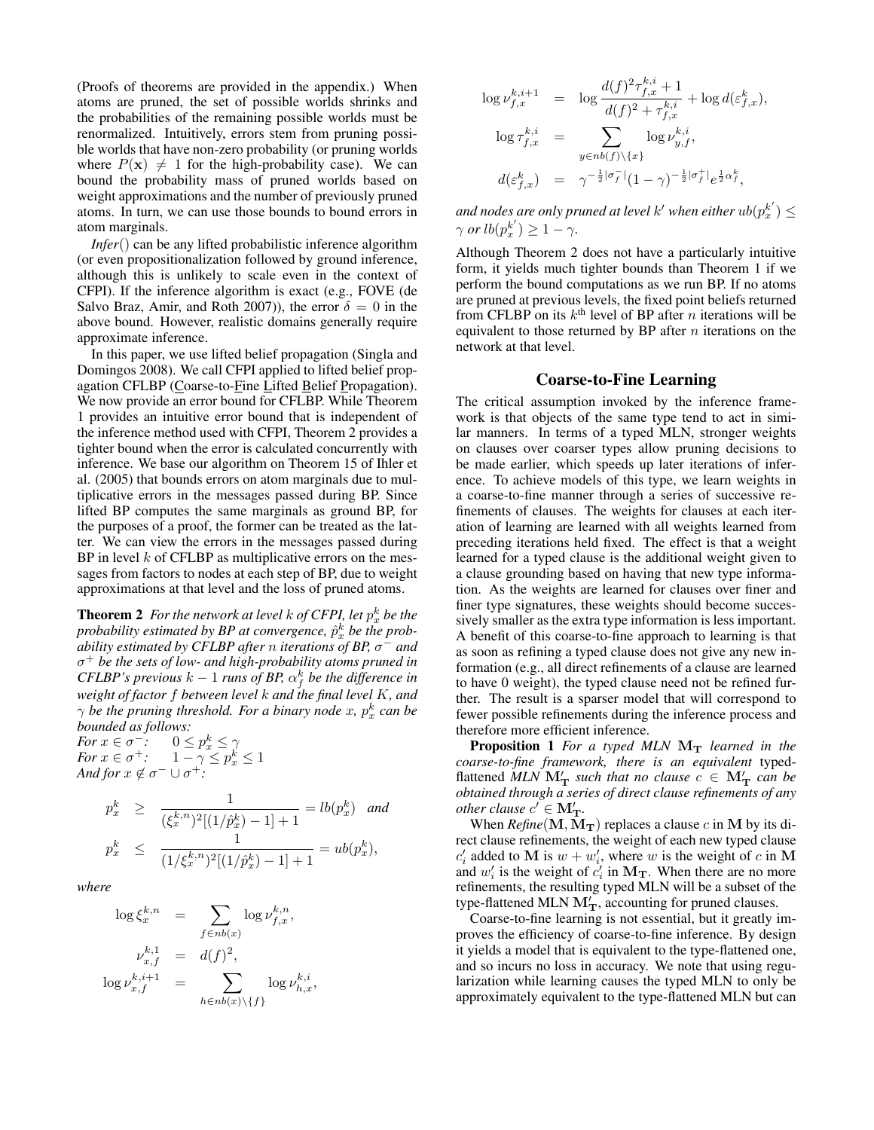(Proofs of theorems are provided in the appendix.) When atoms are pruned, the set of possible worlds shrinks and the probabilities of the remaining possible worlds must be renormalized. Intuitively, errors stem from pruning possible worlds that have non-zero probability (or pruning worlds where  $P(x) \neq 1$  for the high-probability case). We can bound the probability mass of pruned worlds based on weight approximations and the number of previously pruned atoms. In turn, we can use those bounds to bound errors in atom marginals.

*Infer*() can be any lifted probabilistic inference algorithm (or even propositionalization followed by ground inference, although this is unlikely to scale even in the context of CFPI). If the inference algorithm is exact (e.g., FOVE (de Salvo Braz, Amir, and Roth 2007)), the error  $\delta = 0$  in the above bound. However, realistic domains generally require approximate inference.

In this paper, we use lifted belief propagation (Singla and Domingos 2008). We call CFPI applied to lifted belief propagation CFLBP (Coarse-to-Fine Lifted Belief Propagation). We now provide an error bound for CFLBP. While Theorem 1 provides an intuitive error bound that is independent of the inference method used with CFPI, Theorem 2 provides a tighter bound when the error is calculated concurrently with inference. We base our algorithm on Theorem 15 of Ihler et al. (2005) that bounds errors on atom marginals due to multiplicative errors in the messages passed during BP. Since lifted BP computes the same marginals as ground BP, for the purposes of a proof, the former can be treated as the latter. We can view the errors in the messages passed during BP in level  $k$  of CFLBP as multiplicative errors on the messages from factors to nodes at each step of BP, due to weight approximations at that level and the loss of pruned atoms.

**Theorem 2** For the network at level  $k$  of CFPI, let  $p_x^k$  be the probability estimated by BP at convergence,  $\hat{p}_x^k$  be the prob*ability estimated by CFLBP after* n *iterations of BP,* σ <sup>−</sup> *and* σ <sup>+</sup> *be the sets of low- and high-probability atoms pruned in CFLBP's previous*  $k-1$  *runs of BP,*  $\alpha_f^k$  *be the difference in weight of factor* f *between level* k *and the final level* K*, and*  $\gamma$  be the pruning threshold. For a binary node x,  $p_x^k$  can be *bounded as follows:*

*For*  $x \in \sigma^{-}$ :  $0 \le p_x^k \le \gamma$ *For*  $x \in \sigma^+$ :  $1 - \gamma \leq p_x^k \leq 1$ *And for*  $x \notin \sigma^- \cup \sigma^+$ *:* 

$$
p_x^k \ge \frac{1}{(\xi_x^{k,n})^2 [(1/\hat{p}_x^k) - 1] + 1} = lb(p_x^k) \text{ and}
$$
  

$$
p_x^k \le \frac{1}{(1/\xi_x^{k,n})^2 [(1/\hat{p}_x^k) - 1] + 1} = ub(p_x^k),
$$

*where*

$$
\log \xi_x^{k,n} = \sum_{f \in nb(x)} \log \nu_{f,x}^{k,n},
$$
  

$$
\nu_{x,f}^{k,1} = d(f)^2,
$$
  

$$
\log \nu_{x,f}^{k,i+1} = \sum_{h \in nb(x) \setminus \{f\}} \log \nu_{h,x}^{k,i},
$$

$$
\log \nu_{f,x}^{k,i+1} = \log \frac{d(f)^2 \tau_{f,x}^{k,i} + 1}{d(f)^2 + \tau_{f,x}^{k,i}} + \log d(\varepsilon_{f,x}^k),
$$
  

$$
\log \tau_{f,x}^{k,i} = \sum_{y \in nb(f) \setminus \{x\}} \log \nu_{y,f}^{k,i},
$$
  

$$
d(\varepsilon_{f,x}^k) = \gamma^{-\frac{1}{2}|\sigma_f^{-}|} (1 - \gamma)^{-\frac{1}{2}|\sigma_f^{+}|} e^{\frac{1}{2}\alpha_f^k},
$$

and nodes are only pruned at level  $k'$  when either  $ub(p_x^{k'}) \leq$  $\gamma$  *or*  $lb(p_x^{k'}) \geq 1 - \gamma$ .

Although Theorem 2 does not have a particularly intuitive form, it yields much tighter bounds than Theorem 1 if we perform the bound computations as we run BP. If no atoms are pruned at previous levels, the fixed point beliefs returned from CFLBP on its  $k^{\text{th}}$  level of BP after *n* iterations will be equivalent to those returned by BP after  $n$  iterations on the network at that level.

## Coarse-to-Fine Learning

The critical assumption invoked by the inference framework is that objects of the same type tend to act in similar manners. In terms of a typed MLN, stronger weights on clauses over coarser types allow pruning decisions to be made earlier, which speeds up later iterations of inference. To achieve models of this type, we learn weights in a coarse-to-fine manner through a series of successive refinements of clauses. The weights for clauses at each iteration of learning are learned with all weights learned from preceding iterations held fixed. The effect is that a weight learned for a typed clause is the additional weight given to a clause grounding based on having that new type information. As the weights are learned for clauses over finer and finer type signatures, these weights should become successively smaller as the extra type information is less important. A benefit of this coarse-to-fine approach to learning is that as soon as refining a typed clause does not give any new information (e.g., all direct refinements of a clause are learned to have 0 weight), the typed clause need not be refined further. The result is a sparser model that will correspond to fewer possible refinements during the inference process and therefore more efficient inference.

**Proposition 1** For a typed MLN  $M_T$  learned in the *coarse-to-fine framework, there is an equivalent* typedflattened  $MLN$   $\mathbf{M}'_{\mathbf{T}}$  *such that no clause*  $c \in \mathbf{M}'_{\mathbf{T}}$  *can be obtained through a series of direct clause refinements of any other clause*  $c' \in M'_{\mathbf{T}}$ .

When  $Refine(M, M_T)$  replaces a clause c in M by its direct clause refinements, the weight of each new typed clause  $c_i'$  added to M is  $w + w_i'$ , where w is the weight of c in M and  $w'_i$  is the weight of  $c'_i$  in  $\mathbf{M_T}$ . When there are no more refinements, the resulting typed MLN will be a subset of the type-flattened MLN  $M'_T$ , accounting for pruned clauses.

Coarse-to-fine learning is not essential, but it greatly improves the efficiency of coarse-to-fine inference. By design it yields a model that is equivalent to the type-flattened one, and so incurs no loss in accuracy. We note that using regularization while learning causes the typed MLN to only be approximately equivalent to the type-flattened MLN but can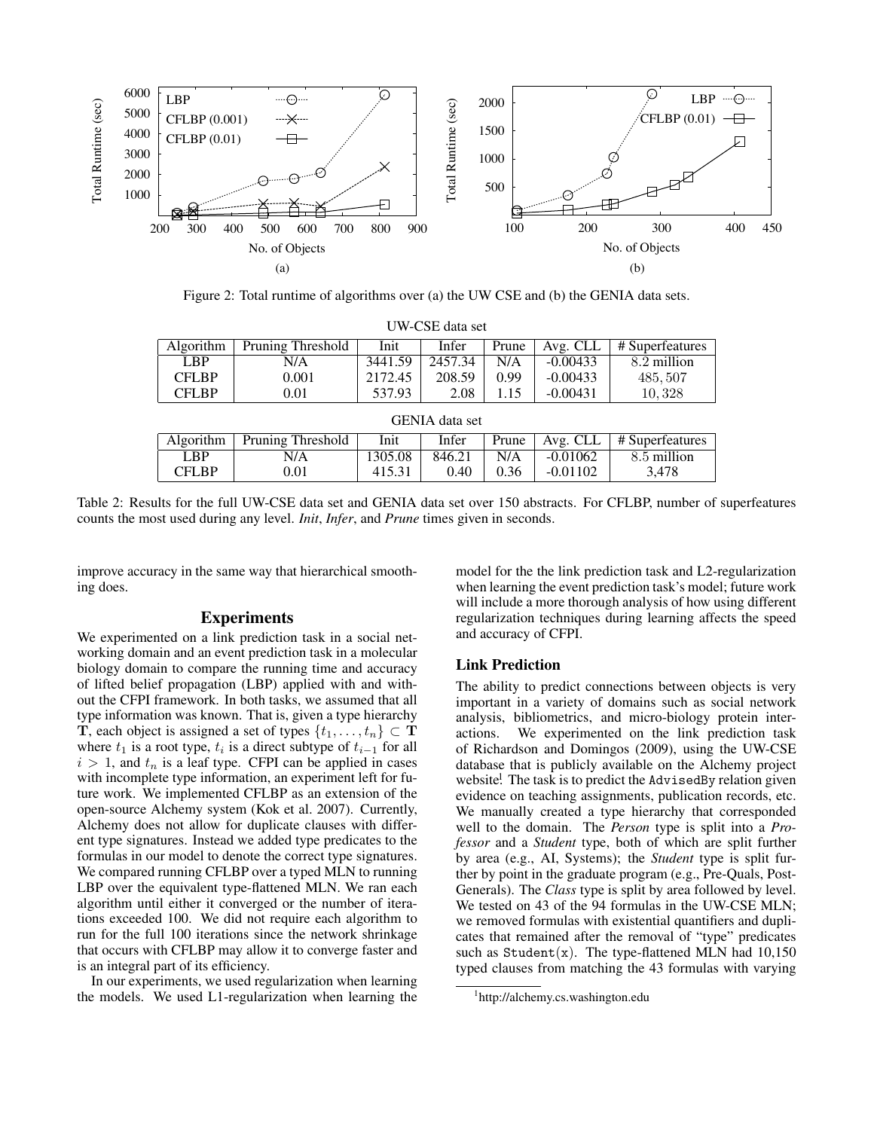

Figure 2: Total runtime of algorithms over (a) the UW CSE and (b) the GENIA data sets.

| UW-CSE data set       |                          |         |         |       |            |                 |  |  |  |
|-----------------------|--------------------------|---------|---------|-------|------------|-----------------|--|--|--|
| Algorithm             | <b>Pruning Threshold</b> | Init    | Infer   | Prune | Avg. CLL   | # Superfeatures |  |  |  |
| <b>LBP</b>            | N/A                      | 3441.59 | 2457.34 | N/A   | $-0.00433$ | 8.2 million     |  |  |  |
| <b>CFLBP</b>          | 0.001                    | 2172.45 | 208.59  | 0.99  | $-0.00433$ | 485, 507        |  |  |  |
| <b>CFLBP</b>          | 0.01                     | 537.93  | 2.08    | 1.15  | $-0.00431$ | 10,328          |  |  |  |
| <b>GENIA</b> data set |                          |         |         |       |            |                 |  |  |  |
| Algorithm             | Pruning Threshold        | Init    | Infer   | Prune | Avg. CLL   | # Superfeatures |  |  |  |
| <b>LBP</b>            | N/A                      | 1305.08 | 846.21  | N/A   | $-0.01062$ | 8.5 million     |  |  |  |
| <b>CFLBP</b>          | 0.01                     | 415.31  | 0.40    | 0.36  | $-0.01102$ | 3.478           |  |  |  |

Table 2: Results for the full UW-CSE data set and GENIA data set over 150 abstracts. For CFLBP, number of superfeatures counts the most used during any level. *Init*, *Infer*, and *Prune* times given in seconds.

improve accuracy in the same way that hierarchical smoothing does.

# Experiments

We experimented on a link prediction task in a social networking domain and an event prediction task in a molecular biology domain to compare the running time and accuracy of lifted belief propagation (LBP) applied with and without the CFPI framework. In both tasks, we assumed that all type information was known. That is, given a type hierarchy **T**, each object is assigned a set of types  $\{t_1, \ldots, t_n\} \subset \mathbf{T}$ where  $t_1$  is a root type,  $t_i$  is a direct subtype of  $t_{i-1}$  for all  $i > 1$ , and  $t_n$  is a leaf type. CFPI can be applied in cases with incomplete type information, an experiment left for future work. We implemented CFLBP as an extension of the open-source Alchemy system (Kok et al. 2007). Currently, Alchemy does not allow for duplicate clauses with different type signatures. Instead we added type predicates to the formulas in our model to denote the correct type signatures. We compared running CFLBP over a typed MLN to running LBP over the equivalent type-flattened MLN. We ran each algorithm until either it converged or the number of iterations exceeded 100. We did not require each algorithm to run for the full 100 iterations since the network shrinkage that occurs with CFLBP may allow it to converge faster and is an integral part of its efficiency.

In our experiments, we used regularization when learning the models. We used L1-regularization when learning the

model for the the link prediction task and L2-regularization when learning the event prediction task's model; future work will include a more thorough analysis of how using different regularization techniques during learning affects the speed and accuracy of CFPI.

#### Link Prediction

The ability to predict connections between objects is very important in a variety of domains such as social network analysis, bibliometrics, and micro-biology protein interactions. We experimented on the link prediction task of Richardson and Domingos (2009), using the UW-CSE database that is publicly available on the Alchemy project website.<sup>1</sup> The task is to predict the AdvisedBy relation given evidence on teaching assignments, publication records, etc. We manually created a type hierarchy that corresponded well to the domain. The *Person* type is split into a *Professor* and a *Student* type, both of which are split further by area (e.g., AI, Systems); the *Student* type is split further by point in the graduate program (e.g., Pre-Quals, Post-Generals). The *Class* type is split by area followed by level. We tested on 43 of the 94 formulas in the UW-CSE MLN; we removed formulas with existential quantifiers and duplicates that remained after the removal of "type" predicates such as  $Student(x)$ . The type-flattened MLN had 10,150 typed clauses from matching the 43 formulas with varying

<sup>1</sup> http://alchemy.cs.washington.edu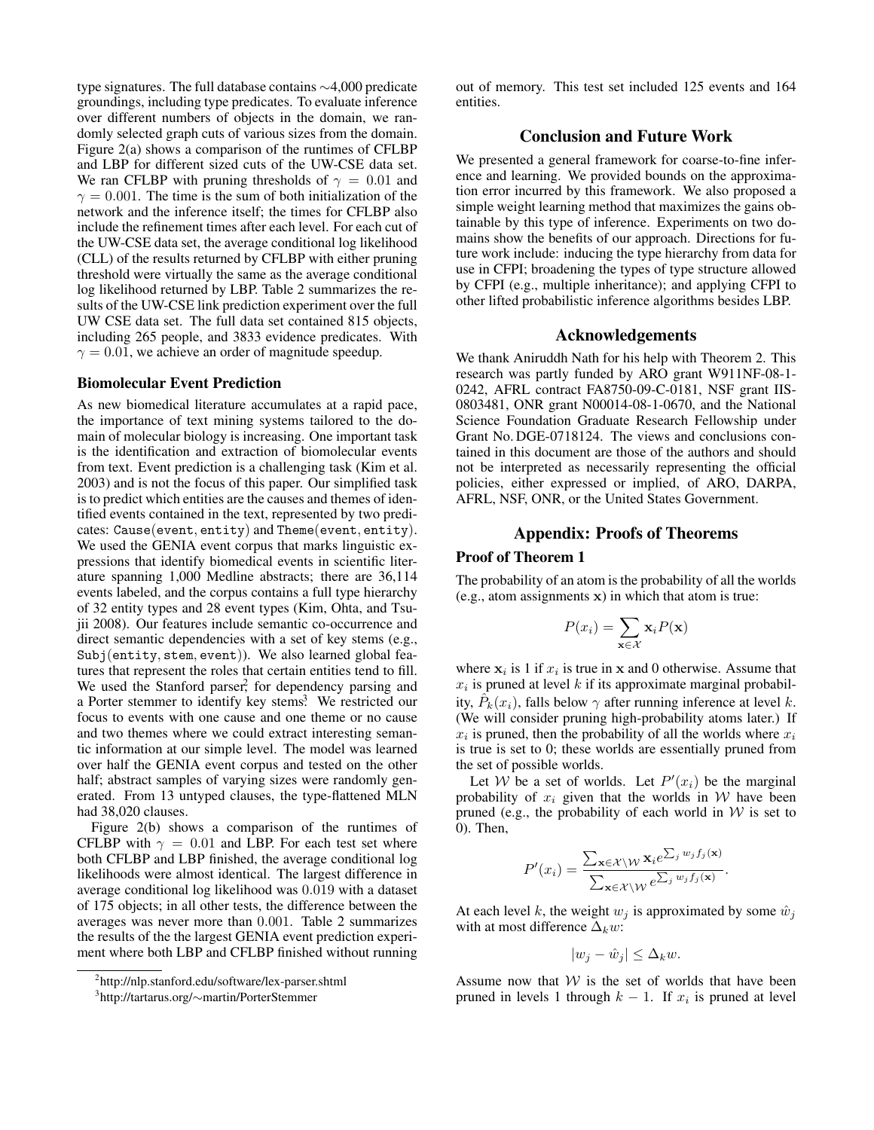type signatures. The full database contains ∼4,000 predicate groundings, including type predicates. To evaluate inference over different numbers of objects in the domain, we randomly selected graph cuts of various sizes from the domain. Figure 2(a) shows a comparison of the runtimes of CFLBP and LBP for different sized cuts of the UW-CSE data set. We ran CFLBP with pruning thresholds of  $\gamma = 0.01$  and  $\gamma = 0.001$ . The time is the sum of both initialization of the network and the inference itself; the times for CFLBP also include the refinement times after each level. For each cut of the UW-CSE data set, the average conditional log likelihood (CLL) of the results returned by CFLBP with either pruning threshold were virtually the same as the average conditional log likelihood returned by LBP. Table 2 summarizes the results of the UW-CSE link prediction experiment over the full UW CSE data set. The full data set contained 815 objects, including 265 people, and 3833 evidence predicates. With  $\gamma = 0.01$ , we achieve an order of magnitude speedup.

## Biomolecular Event Prediction

As new biomedical literature accumulates at a rapid pace, the importance of text mining systems tailored to the domain of molecular biology is increasing. One important task is the identification and extraction of biomolecular events from text. Event prediction is a challenging task (Kim et al. 2003) and is not the focus of this paper. Our simplified task is to predict which entities are the causes and themes of identified events contained in the text, represented by two predicates: Cause(event, entity) and Theme(event, entity). We used the GENIA event corpus that marks linguistic expressions that identify biomedical events in scientific literature spanning 1,000 Medline abstracts; there are 36,114 events labeled, and the corpus contains a full type hierarchy of 32 entity types and 28 event types (Kim, Ohta, and Tsujii 2008). Our features include semantic co-occurrence and direct semantic dependencies with a set of key stems (e.g., Subj(entity, stem, event)). We also learned global features that represent the roles that certain entities tend to fill. We used the Stanford parser<sup>2</sup>, for dependency parsing and a Porter stemmer to identify key stems.<sup>3</sup> We restricted our focus to events with one cause and one theme or no cause and two themes where we could extract interesting semantic information at our simple level. The model was learned over half the GENIA event corpus and tested on the other half; abstract samples of varying sizes were randomly generated. From 13 untyped clauses, the type-flattened MLN had 38,020 clauses.

Figure 2(b) shows a comparison of the runtimes of CFLBP with  $\gamma = 0.01$  and LBP. For each test set where both CFLBP and LBP finished, the average conditional log likelihoods were almost identical. The largest difference in average conditional log likelihood was 0.019 with a dataset of 175 objects; in all other tests, the difference between the averages was never more than 0.001. Table 2 summarizes the results of the the largest GENIA event prediction experiment where both LBP and CFLBP finished without running

out of memory. This test set included 125 events and 164 entities.

# Conclusion and Future Work

We presented a general framework for coarse-to-fine inference and learning. We provided bounds on the approximation error incurred by this framework. We also proposed a simple weight learning method that maximizes the gains obtainable by this type of inference. Experiments on two domains show the benefits of our approach. Directions for future work include: inducing the type hierarchy from data for use in CFPI; broadening the types of type structure allowed by CFPI (e.g., multiple inheritance); and applying CFPI to other lifted probabilistic inference algorithms besides LBP.

#### Acknowledgements

We thank Aniruddh Nath for his help with Theorem 2. This research was partly funded by ARO grant W911NF-08-1- 0242, AFRL contract FA8750-09-C-0181, NSF grant IIS-0803481, ONR grant N00014-08-1-0670, and the National Science Foundation Graduate Research Fellowship under Grant No. DGE-0718124. The views and conclusions contained in this document are those of the authors and should not be interpreted as necessarily representing the official policies, either expressed or implied, of ARO, DARPA, AFRL, NSF, ONR, or the United States Government.

# Appendix: Proofs of Theorems

## Proof of Theorem 1

The probability of an atom is the probability of all the worlds (e.g., atom assignments x) in which that atom is true:

$$
P(x_i) = \sum_{\mathbf{x} \in \mathcal{X}} \mathbf{x}_i P(\mathbf{x})
$$

where  $x_i$  is 1 if  $x_i$  is true in x and 0 otherwise. Assume that  $x_i$  is pruned at level k if its approximate marginal probability,  $\hat{P}_k(x_i)$ , falls below  $\gamma$  after running inference at level k. (We will consider pruning high-probability atoms later.) If  $x_i$  is pruned, then the probability of all the worlds where  $x_i$ is true is set to 0; these worlds are essentially pruned from the set of possible worlds.

Let W be a set of worlds. Let  $P'(x_i)$  be the marginal probability of  $x_i$  given that the worlds in W have been pruned (e.g., the probability of each world in  $W$  is set to 0). Then,

$$
P'(x_i) = \frac{\sum_{\mathbf{x} \in \mathcal{X} \setminus \mathcal{W}} \mathbf{x}_i e^{\sum_j w_j f_j(\mathbf{x})}}{\sum_{\mathbf{x} \in \mathcal{X} \setminus \mathcal{W}} e^{\sum_j w_j f_j(\mathbf{x})}}.
$$

At each level k, the weight  $w_i$  is approximated by some  $\hat{w}_i$ with at most difference  $\Delta_k w$ :

$$
|w_j - \hat{w}_j| \le \Delta_k w.
$$

Assume now that  $W$  is the set of worlds that have been pruned in levels 1 through  $k - 1$ . If  $x_i$  is pruned at level

<sup>2</sup> http://nlp.stanford.edu/software/lex-parser.shtml

<sup>3</sup> http://tartarus.org/∼martin/PorterStemmer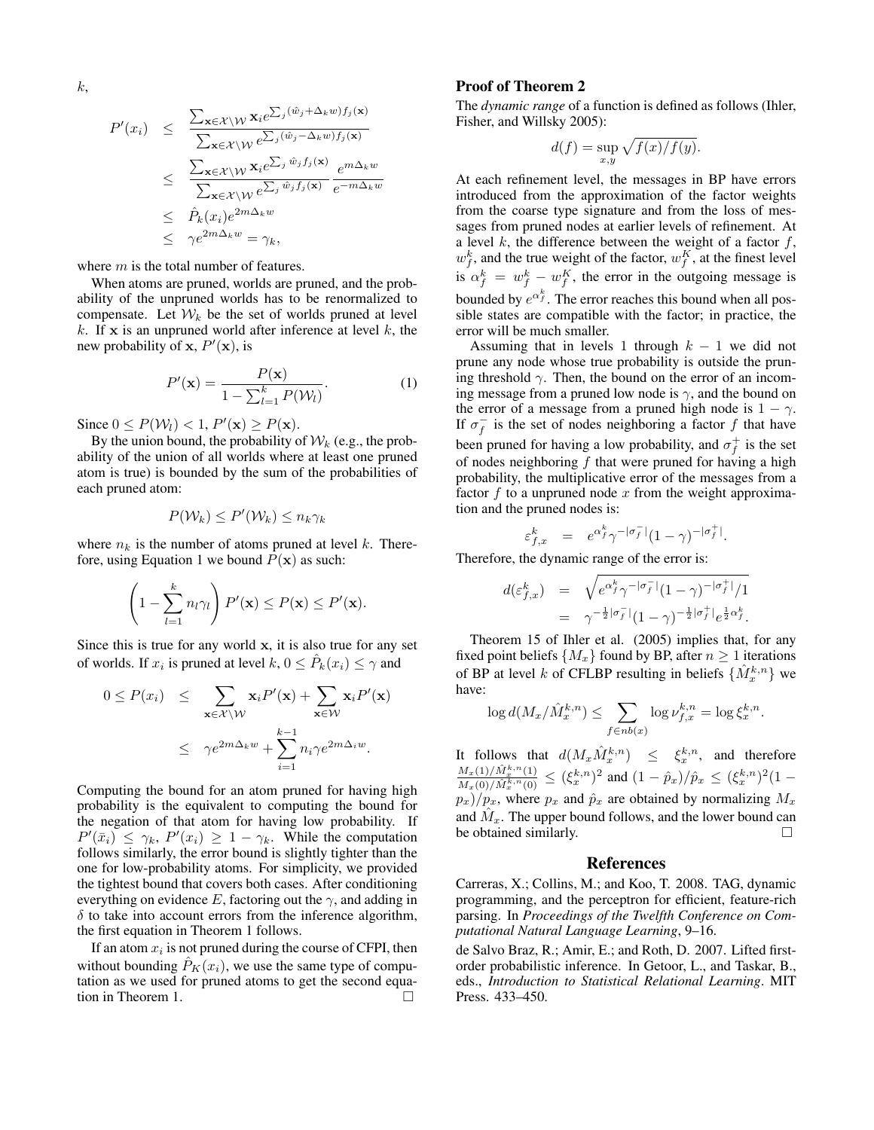$$
P'(x_i) \leq \frac{\sum_{\mathbf{x} \in \mathcal{X} \setminus \mathcal{W}} \mathbf{x}_i e^{\sum_j (\hat{w}_j + \Delta_k w) f_j(\mathbf{x})}}{\sum_{\mathbf{x} \in \mathcal{X} \setminus \mathcal{W}} e^{\sum_j (\hat{w}_j - \Delta_k w) f_j(\mathbf{x})}}
$$
  

$$
\leq \frac{\sum_{\mathbf{x} \in \mathcal{X} \setminus \mathcal{W}} \mathbf{x}_i e^{\sum_j \hat{w}_j f_j(\mathbf{x})}}{\sum_{\mathbf{x} \in \mathcal{X} \setminus \mathcal{W}} e^{\sum_j \hat{w}_j f_j(\mathbf{x})}} \frac{e^{m \Delta_k w}}{e^{-m \Delta_k w}}
$$
  

$$
\leq \hat{P}_k(x_i) e^{2m \Delta_k w}
$$
  

$$
\leq \gamma e^{2m \Delta_k w} = \gamma_k,
$$

where  $m$  is the total number of features.

When atoms are pruned, worlds are pruned, and the probability of the unpruned worlds has to be renormalized to compensate. Let  $W_k$  be the set of worlds pruned at level k. If x is an unpruned world after inference at level  $k$ , the new probability of x,  $P'(\mathbf{x})$ , is

$$
P'(\mathbf{x}) = \frac{P(\mathbf{x})}{1 - \sum_{l=1}^{k} P(\mathcal{W}_l)}.
$$
 (1)

Since  $0 \leq P(\mathcal{W}_l) < 1, P'(\mathbf{x}) \geq P(\mathbf{x})$ .

By the union bound, the probability of  $\mathcal{W}_k$  (e.g., the probability of the union of all worlds where at least one pruned atom is true) is bounded by the sum of the probabilities of each pruned atom:

$$
P(\mathcal{W}_k) \le P'(\mathcal{W}_k) \le n_k \gamma_k
$$

where  $n_k$  is the number of atoms pruned at level k. Therefore, using Equation 1 we bound  $P(x)$  as such:

$$
\left(1 - \sum_{l=1}^k n_l \gamma_l\right) P'(\mathbf{x}) \le P(\mathbf{x}) \le P'(\mathbf{x}).
$$

Since this is true for any world  $x$ , it is also true for any set of worlds. If  $x_i$  is pruned at level  $k, 0 \leq \hat{P}_k(x_i) \leq \gamma$  and

$$
0 \le P(x_i) \le \sum_{\mathbf{x} \in \mathcal{X} \setminus \mathcal{W}} \mathbf{x}_i P'(\mathbf{x}) + \sum_{\mathbf{x} \in \mathcal{W}} \mathbf{x}_i P'(\mathbf{x})
$$

$$
\le \gamma e^{2m\Delta_k w} + \sum_{i=1}^{k-1} n_i \gamma e^{2m\Delta_i w}.
$$

Computing the bound for an atom pruned for having high probability is the equivalent to computing the bound for the negation of that atom for having low probability. If  $P'(\bar{x}_i) \leq \gamma_k$ ,  $P'(x_i) \geq 1 - \gamma_k$ . While the computation follows similarly, the error bound is slightly tighter than the one for low-probability atoms. For simplicity, we provided the tightest bound that covers both cases. After conditioning everything on evidence E, factoring out the  $\gamma$ , and adding in  $\delta$  to take into account errors from the inference algorithm, the first equation in Theorem 1 follows.

If an atom  $x_i$  is not pruned during the course of CFPI, then without bounding  $\hat{P}_K(x_i)$ , we use the same type of computation as we used for pruned atoms to get the second equation in Theorem 1.

#### Proof of Theorem 2

The *dynamic range* of a function is defined as follows (Ihler, Fisher, and Willsky 2005):

$$
d(f) = \sup_{x,y} \sqrt{f(x)/f(y)}.
$$

At each refinement level, the messages in BP have errors introduced from the approximation of the factor weights from the coarse type signature and from the loss of messages from pruned nodes at earlier levels of refinement. At a level  $k$ , the difference between the weight of a factor  $f$ ,  $w_f^k$ , and the true weight of the factor,  $w_f^K$ , at the finest level is  $\alpha_f^k = w_f^k - w_f^K$ , the error in the outgoing message is bounded by  $e^{\alpha_f^k}$ . The error reaches this bound when all possible states are compatible with the factor; in practice, the error will be much smaller.

Assuming that in levels 1 through  $k - 1$  we did not prune any node whose true probability is outside the pruning threshold  $\gamma$ . Then, the bound on the error of an incoming message from a pruned low node is  $\gamma$ , and the bound on the error of a message from a pruned high node is  $1 - \gamma$ . If  $\sigma_f^-$  is the set of nodes neighboring a factor f that have been pruned for having a low probability, and  $\sigma_f^+$  is the set of nodes neighboring  $f$  that were pruned for having a high probability, the multiplicative error of the messages from a factor  $f$  to a unpruned node  $x$  from the weight approximation and the pruned nodes is:

$$
\varepsilon_{f,x}^k \ \ = \ \ e^{\alpha_f^k} \gamma^{-|\sigma_f^-|} (1-\gamma)^{-|\sigma_f^+|}.
$$

Therefore, the dynamic range of the error is:

$$
d(\varepsilon_{f,x}^k) = \sqrt{e^{\alpha_f^k} \gamma^{-|\sigma_f^-|} (1-\gamma)^{-|\sigma_f^+|} / 1}
$$
  
=  $\gamma^{-\frac{1}{2}|\sigma_f^-|} (1-\gamma)^{-\frac{1}{2}|\sigma_f^+|} e^{\frac{1}{2} \alpha_f^k}.$ 

Theorem 15 of Ihler et al. (2005) implies that, for any fixed point beliefs  $\{M_x\}$  found by BP, after  $n \geq 1$  iterations of BP at level k of CFLBP resulting in beliefs  $\{\hat{M}_x^{k,n}\}$  we have:

$$
\log d(M_x/\hat{M}_x^{k,n}) \le \sum_{f \in nb(x)} \log \nu_{f,x}^{k,n} = \log \xi_x^{k,n}.
$$

It follows that  $d(M_x \hat{M}_x^{k,n}) \leq \xi_x^{k,n}$ , and therefore  $M_{x}(1)/\hat{M}_{x}^{k,n}(1)$  $\frac{M_x(1)/M_x^{k,n}(1)}{M_x(0)/\hat{M}_x^{k,n}(0)} \le (\xi_x^{k,n})^2$  and  $(1-\hat{p}_x)/\hat{p}_x \le (\xi_x^{k,n})^2(1-\hat{p}_x)$  $p_x$ )/ $p_x$ , where  $p_x$  and  $\hat{p}_x$  are obtained by normalizing  $M_x$ and  $\hat{M}_x$ . The upper bound follows, and the lower bound can be obtained similarly.

#### References

Carreras, X.; Collins, M.; and Koo, T. 2008. TAG, dynamic programming, and the perceptron for efficient, feature-rich parsing. In *Proceedings of the Twelfth Conference on Computational Natural Language Learning*, 9–16.

de Salvo Braz, R.; Amir, E.; and Roth, D. 2007. Lifted firstorder probabilistic inference. In Getoor, L., and Taskar, B., eds., *Introduction to Statistical Relational Learning*. MIT Press. 433–450.